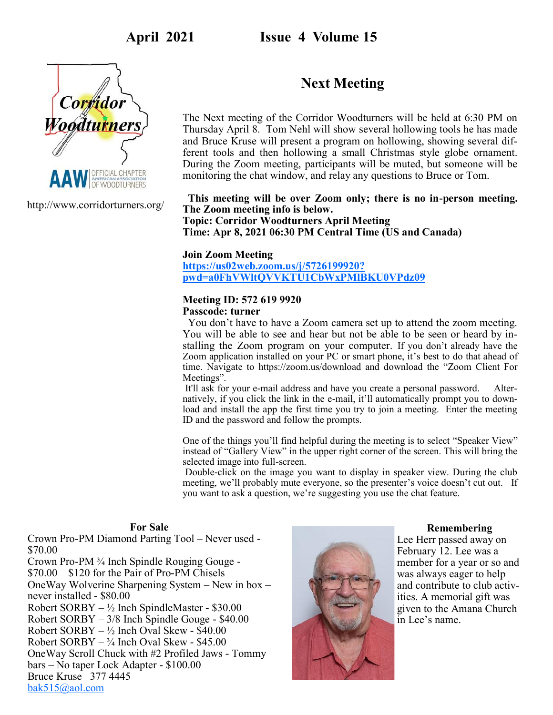**April 2021 Issue 4 Volume 15**

<span id="page-0-0"></span>

http://www.corridorturners.org/

# **Next Meeting**

The Next meeting of the Corridor Woodturners will be held at 6:30 PM on Thursday April 8. Tom Nehl will show several hollowing tools he has made and Bruce Kruse will present a program on hollowing, showing several different tools and then hollowing a small Christmas style globe ornament. During the Zoom meeting, participants will be muted, but someone will be monitoring the chat window, and relay any questions to Bruce or Tom.

## **This meeting will be over Zoom only; there is no in-person meeting. The Zoom meeting info is below.**

**Topic: Corridor Woodturners April Meeting Time: Apr 8, 2021 06:30 PM Central Time (US and Canada)**

## **Join Zoom Meeting [https://us02web.zoom.us/j/5726199920?](#page-0-0) [pwd=a0FhVWltQVVKTU1CbWxPMlBKU0VPdz09](#page-0-0)**

## **Meeting ID: 572 619 9920**

## **Passcode: turner**

You don't have to have a Zoom camera set up to attend the zoom meeting. You will be able to see and hear but not be able to be seen or heard by installing the Zoom program on your computer. If you don't already have the Zoom application installed on your PC or smart phone, it's best to do that ahead of time. Navigate to https://zoom.us/download and download the "Zoom Client For Meetings".

It'll ask for your e-mail address and have you create a personal password. Alternatively, if you click the link in the e-mail, it'll automatically prompt you to download and install the app the first time you try to join a meeting. Enter the meeting ID and the password and follow the prompts.

One of the things you'll find helpful during the meeting is to select "Speaker View" instead of "Gallery View" in the upper right corner of the screen. This will bring the selected image into full-screen.

Double-click on the image you want to display in speaker view. During the club meeting, we'll probably mute everyone, so the presenter's voice doesn't cut out. If you want to ask a question, we're suggesting you use the chat feature.

### **For Sale**

Crown Pro-PM Diamond Parting Tool – Never used - \$70.00 Crown Pro-PM ¾ Inch Spindle Rouging Gouge - \$70.00 \$120 for the Pair of Pro-PM Chisels OneWay Wolverine Sharpening System – New in box – never installed - \$80.00 Robert SORBY – ½ Inch SpindleMaster - \$30.00 Robert SORBY – 3/8 Inch Spindle Gouge - \$40.00 Robert SORBY – ½ Inch Oval Skew - \$40.00 Robert  $SORBY -  $\frac{3}{4}$  Inch Oval Skew - $45.00$ OneWay Scroll Chuck with #2 Profiled Jaws - Tommy bars – No taper Lock Adapter - \$100.00 Bruce Kruse 377 4445 [bak515@aol.com](mailto:bak515@aol.com)



### **Remembering**

Lee Herr passed away on February 12. Lee was a member for a year or so and was always eager to help and contribute to club activities. A memorial gift was given to the Amana Church in Lee's name.